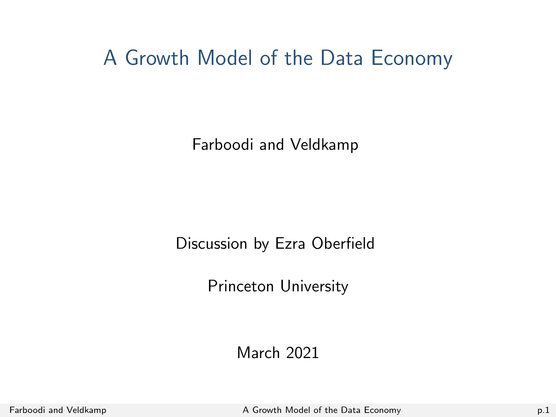<span id="page-0-0"></span>A Growth Model of the Data Economy

Farboodi and Veldkamp

Discussion by Ezra Oberfield

Princeton University

March 2021

Farboodi and Veldkamp **A** Growth Model of the Data Economy **p.1** p.1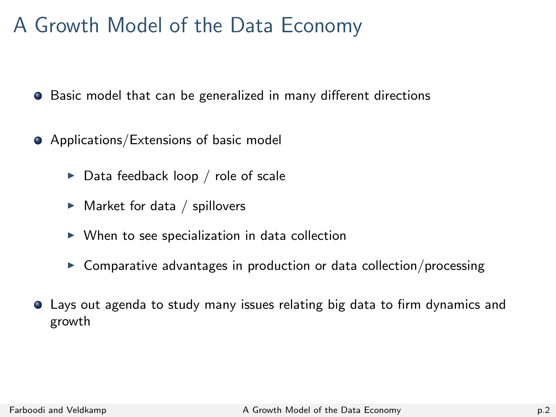# A Growth Model of the Data Economy

**•** Basic model that can be generalized in many different directions

- **•** Applications/Extensions of basic model
	- $\triangleright$  Data feedback loop / role of scale
	- $\blacktriangleright$  Market for data / spillovers
	- $\triangleright$  When to see specialization in data collection
	- $\triangleright$  Comparative advantages in production or data collection/processing
- Lays out agenda to study many issues relating big data to firm dynamics and growth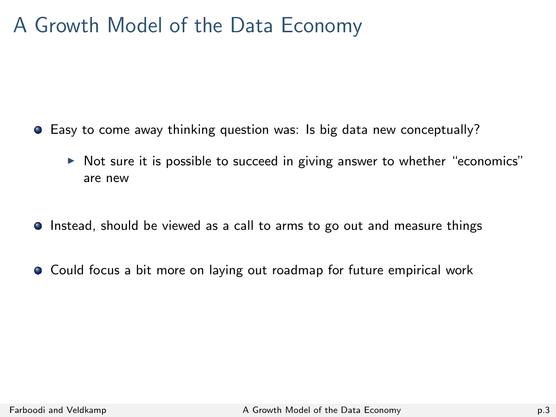# A Growth Model of the Data Economy

- Easy to come away thinking question was: Is big data new conceptually?
	- $\triangleright$  Not sure it is possible to succeed in giving answer to whether "economics" are new
- **Instead, should be viewed as a call to arms to go out and measure things**
- Could focus a bit more on laying out roadmap for future empirical work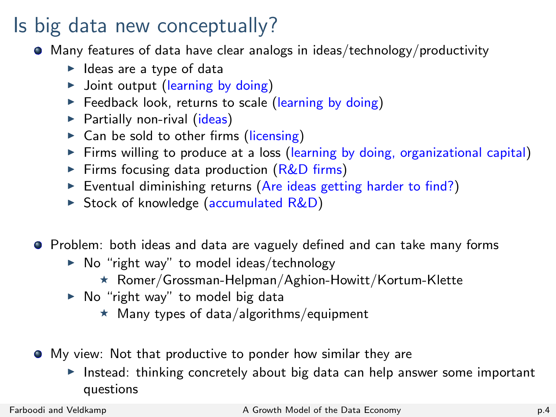# Is big data new conceptually?

- Many features of data have clear analogs in ideas/technology/productivity
	- $\blacktriangleright$  Ideas are a type of data
	- $\triangleright$  Joint output (learning by doing)
	- $\triangleright$  Feedback look, returns to scale (learning by doing)
	- $\blacktriangleright$  Partially non-rival (ideas)
	- $\triangleright$  Can be sold to other firms (licensing)
	- Firms willing to produce at a loss (learning by doing, organizational capital)
	- Firms focusing data production  $(R&D$  firms)
	- $\triangleright$  Eventual diminishing returns (Are ideas getting harder to find?)
	- $\triangleright$  Stock of knowledge (accumulated R&D)

Problem: both ideas and data are vaguely defined and can take many forms

- $\triangleright$  No "right way" to model ideas/technology
	- $\star$  Romer/Grossman-Helpman/Aghion-Howitt/Kortum-Klette
- $\triangleright$  No "right way" to model big data
	- $\star$  Many types of data/algorithms/equipment
- My view: Not that productive to ponder how similar they are
	- Instead: thinking concretely about big data can help answer some important questions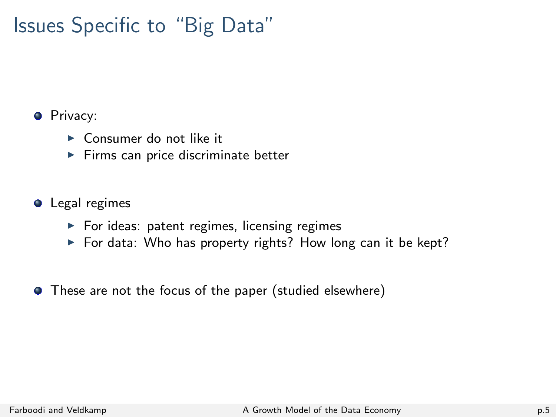# Issues Specific to "Big Data"

#### **O** Privacy:

- $\triangleright$  Consumer do not like it
- $\blacktriangleright$  Firms can price discriminate better

#### **O** Legal regimes

- $\blacktriangleright$  For ideas: patent regimes, licensing regimes
- $\triangleright$  For data: Who has property rights? How long can it be kept?
- These are not the focus of the paper (studied elsewhere)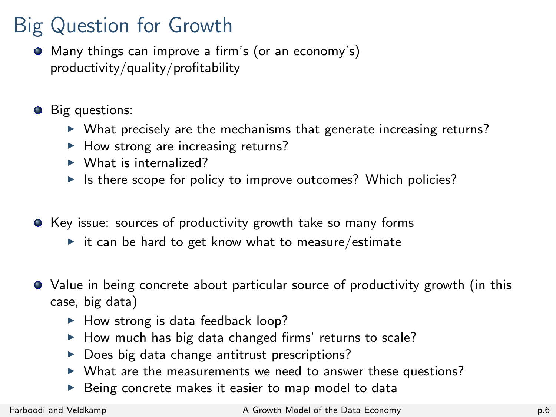# Big Question for Growth

- Many things can improve a firm's (or an economy's) productivity/quality/profitability
- **Big questions:** 
	- $\triangleright$  What precisely are the mechanisms that generate increasing returns?
	- $\blacktriangleright$  How strong are increasing returns?
	- $\blacktriangleright$  What is internalized?
	- $\triangleright$  Is there scope for policy to improve outcomes? Which policies?
- Key issue: sources of productivity growth take so many forms
	- $\triangleright$  it can be hard to get know what to measure/estimate
- Value in being concrete about particular source of productivity growth (in this case, big data)
	- $\blacktriangleright$  How strong is data feedback loop?
	- $\blacktriangleright$  How much has big data changed firms' returns to scale?
	- $\triangleright$  Does big data change antitrust prescriptions?
	- $\triangleright$  What are the measurements we need to answer these questions?
	- $\triangleright$  Being concrete makes it easier to map model to data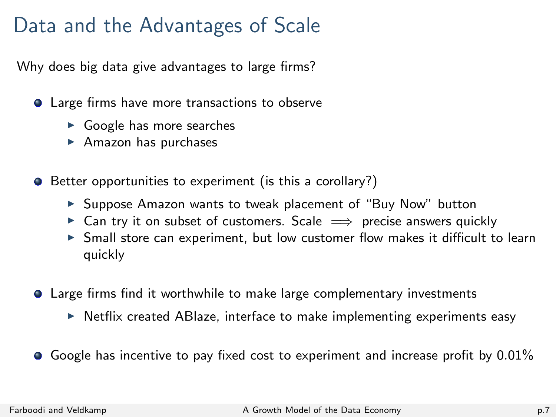# Data and the Advantages of Scale

Why does big data give advantages to large firms?

- **Q** Large firms have more transactions to observe
	- $\triangleright$  Google has more searches
	- $\blacktriangleright$  Amazon has purchases
- Better opportunities to experiment (is this a corollary?)
	- ▶ Suppose Amazon wants to tweak placement of "Buy Now" button
	- $\triangleright$  Can try it on subset of customers. Scale  $\implies$  precise answers quickly
	- $\triangleright$  Small store can experiment, but low customer flow makes it difficult to learn quickly
- Large firms find it worthwhile to make large complementary investments
	- $\triangleright$  Netflix created ABIaze, interface to make implementing experiments easy
- $\bullet$  Google has incentive to pay fixed cost to experiment and increase profit by 0.01%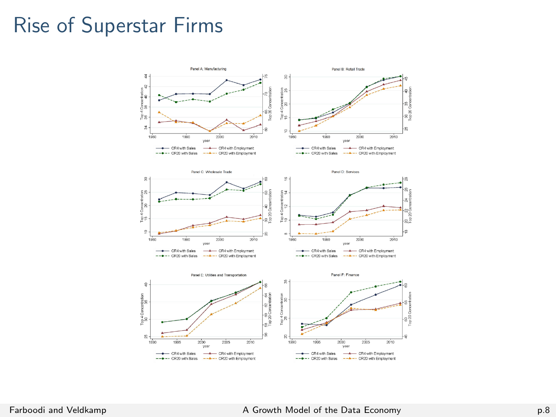#### Rise of Superstar Firms

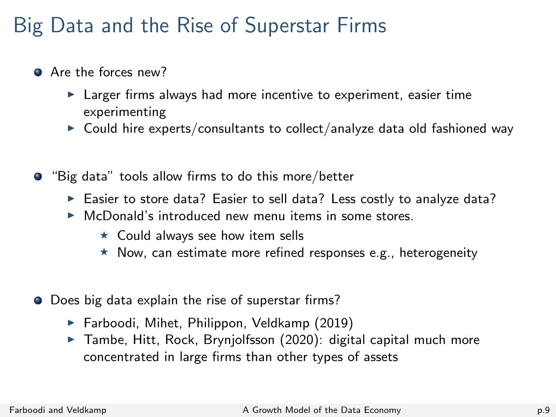# Big Data and the Rise of Superstar Firms

- Are the forces new?
	- $\blacktriangleright$  Larger firms always had more incentive to experiment, easier time experimenting
	- $\triangleright$  Could hire experts/consultants to collect/analyze data old fashioned way
- **•** "Big data" tools allow firms to do this more/better
	- Easier to store data? Easier to sell data? Less costly to analyze data?
	- $\triangleright$  McDonald's introduced new menu items in some stores.
		- $\star$  Could always see how item sells
		- $\star$  Now, can estimate more refined responses e.g., heterogeneity
- O Does big data explain the rise of superstar firms?
	- $\blacktriangleright$  Farboodi, Mihet, Philippon, Veldkamp (2019)
	- $\triangleright$  Tambe, Hitt, Rock, Brynjolfsson (2020): digital capital much more concentrated in large firms than other types of assets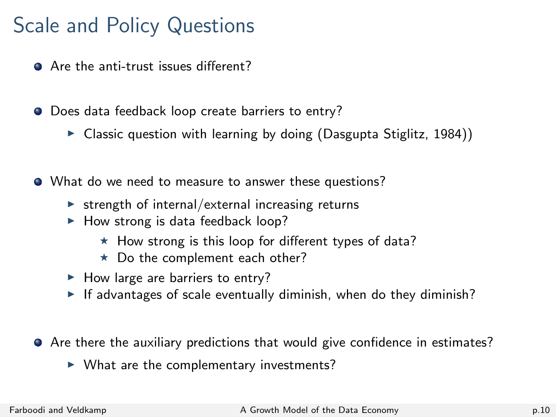# Scale and Policy Questions

- Are the anti-trust issues different?
- $\bullet$  Does data feedback loop create barriers to entry?
	- $\triangleright$  Classic question with learning by doing (Dasgupta Stiglitz, 1984))
- What do we need to measure to answer these questions?
	- $\triangleright$  strength of internal/external increasing returns
	- $\blacktriangleright$  How strong is data feedback loop?
		- $\star$  How strong is this loop for different types of data?
		- $\star$  Do the complement each other?
	- $\blacktriangleright$  How large are barriers to entry?
	- If advantages of scale eventually diminish, when do they diminish?
- **•** Are there the auxiliary predictions that would give confidence in estimates?
	- $\blacktriangleright$  What are the complementary investments?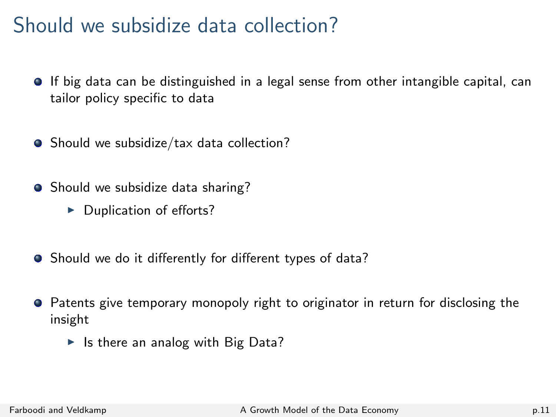### Should we subsidize data collection?

- If big data can be distinguished in a legal sense from other intangible capital, can tailor policy specific to data
- Should we subsidize/tax data collection?
- Should we subsidize data sharing?
	- $\blacktriangleright$  Duplication of efforts?
- Should we do it differently for different types of data?
- Patents give temporary monopoly right to originator in return for disclosing the insight
	- $\blacktriangleright$  Is there an analog with Big Data?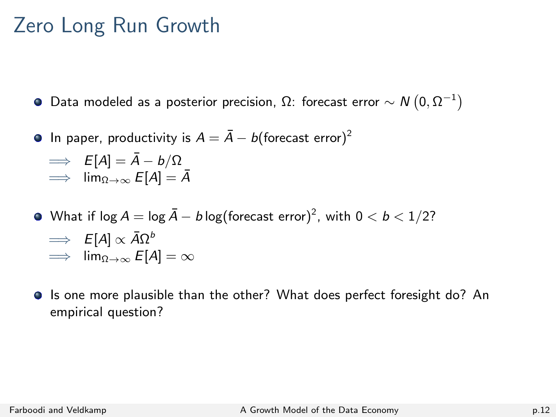### Zero Long Run Growth

Data modeled as a posterior precision, Ω: forecast error  $\sim N\left(0,\Omega^{-1}\right)$ 

**In paper, productivity is**  $A = \overline{A} - b$  **(forecast error)<sup>2</sup>** 

$$
\implies E[A] = \bar{A} - b/\Omega
$$
  

$$
\implies \lim_{\Omega \to \infty} E[A] = \bar{A}
$$

- What if log  $A = \log \bar{A} b \log (\text{forecast error})^2$ , with  $0 < b < 1/2?$ 
	- $\implies$   $E[A] \propto \bar{A}\Omega^b$
	- $\implies$  lim<sub>Ω→∞</sub>  $E[A] = \infty$
- **If** Is one more plausible than the other? What does perfect foresight do? An empirical question?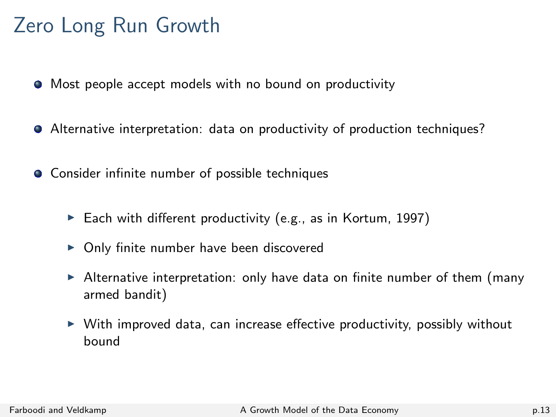# Zero Long Run Growth

- $\bullet$  Most people accept models with no bound on productivity
- Alternative interpretation: data on productivity of production techniques?
- **•** Consider infinite number of possible techniques
	- Each with different productivity (e.g., as in Kortum, 1997)
	- $\triangleright$  Only finite number have been discovered
	- $\blacktriangleright$  Alternative interpretation: only have data on finite number of them (many armed bandit)
	- $\triangleright$  With improved data, can increase effective productivity, possibly without bound